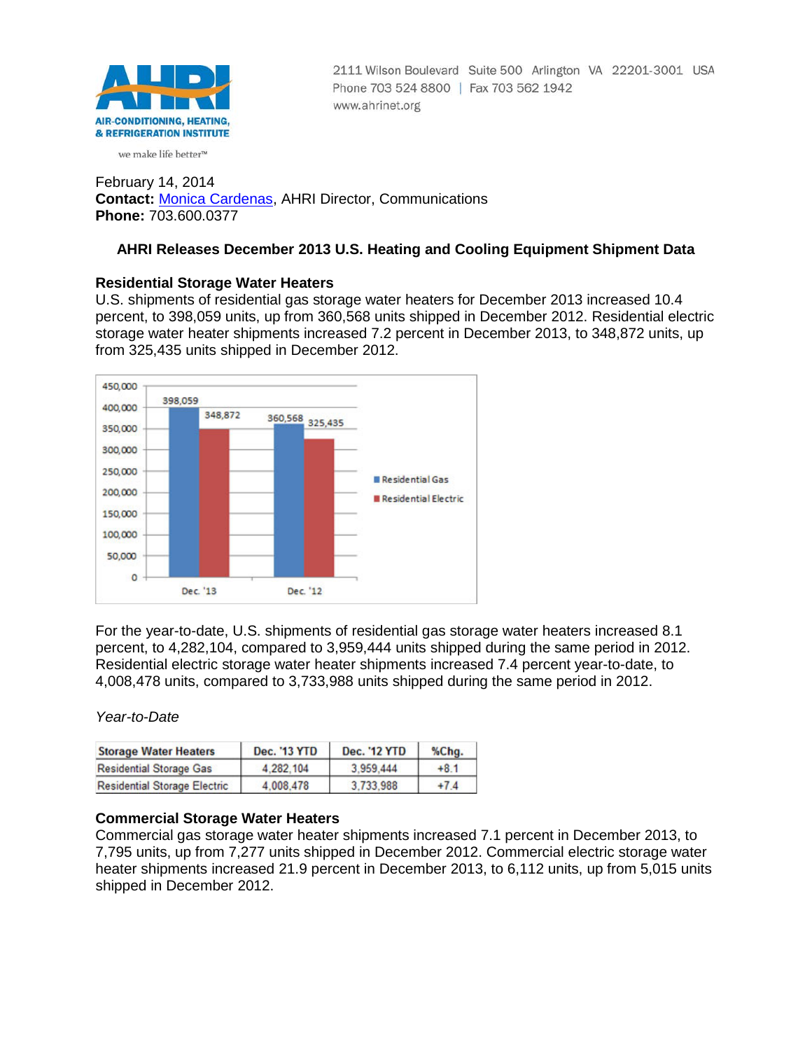

2111 Wilson Boulevard Suite 500 Arlington VA 22201-3001 USA Phone 703 524 8800 | Fax 703 562 1942 www.ahrinet.org

we make life better<sup>™</sup>

February 14, 2014 **Contact:** [Monica Cardenas,](mailto:mcardenas@ahrinet.org) AHRI Director, Communications **Phone:** 703.600.0377

# **AHRI Releases December 2013 U.S. Heating and Cooling Equipment Shipment Data**

# **Residential Storage Water Heaters**

U.S. shipments of residential gas storage water heaters for December 2013 increased 10.4 percent, to 398,059 units, up from 360,568 units shipped in December 2012. Residential electric storage water heater shipments increased 7.2 percent in December 2013, to 348,872 units, up from 325,435 units shipped in December 2012.



For the year-to-date, U.S. shipments of residential gas storage water heaters increased 8.1 percent, to 4,282,104, compared to 3,959,444 units shipped during the same period in 2012. Residential electric storage water heater shipments increased 7.4 percent year-to-date, to 4,008,478 units, compared to 3,733,988 units shipped during the same period in 2012.

## *Year-to-Date*

| <b>Storage Water Heaters</b>        | <b>Dec. '13 YTD</b> | <b>Dec. '12 YTD</b> | %Chg.  |
|-------------------------------------|---------------------|---------------------|--------|
| <b>Residential Storage Gas</b>      | 4.282.104           | 3.959.444           | $+8.1$ |
| <b>Residential Storage Electric</b> | 4.008.478           | 3.733.988           | $+7.4$ |

# **Commercial Storage Water Heaters**

Commercial gas storage water heater shipments increased 7.1 percent in December 2013, to 7,795 units, up from 7,277 units shipped in December 2012. Commercial electric storage water heater shipments increased 21.9 percent in December 2013, to 6,112 units, up from 5,015 units shipped in December 2012.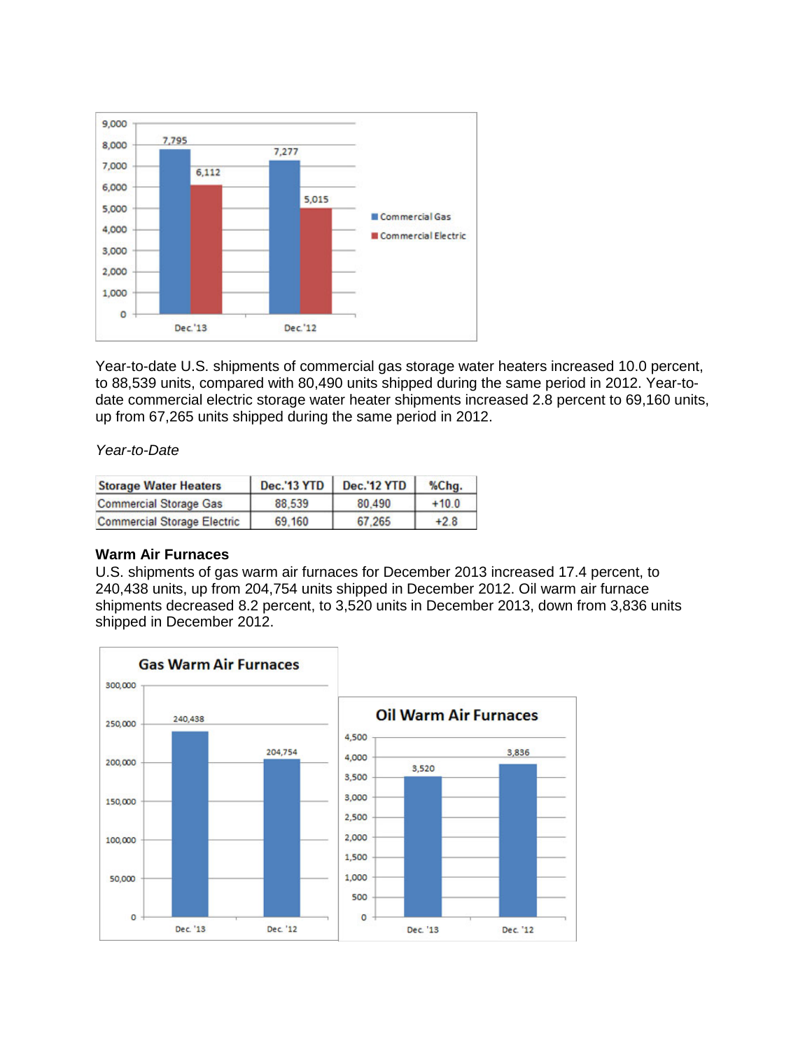

Year-to-date U.S. shipments of commercial gas storage water heaters increased 10.0 percent, to 88,539 units, compared with 80,490 units shipped during the same period in 2012. Year-todate commercial electric storage water heater shipments increased 2.8 percent to 69,160 units, up from 67,265 units shipped during the same period in 2012.

### *Year-to-Date*

| <b>Storage Water Heaters</b>       | <b>Dec.'13 YTD</b> | <b>Dec.'12 YTD</b> | %Chg.   |
|------------------------------------|--------------------|--------------------|---------|
| <b>Commercial Storage Gas</b>      | 88.539             | 80 490             | $+10.0$ |
| <b>Commercial Storage Electric</b> | 69,160             | 67.265             | $+2.8$  |

### **Warm Air Furnaces**

U.S. shipments of gas warm air furnaces for December 2013 increased 17.4 percent, to 240,438 units, up from 204,754 units shipped in December 2012. Oil warm air furnace shipments decreased 8.2 percent, to 3,520 units in December 2013, down from 3,836 units shipped in December 2012.

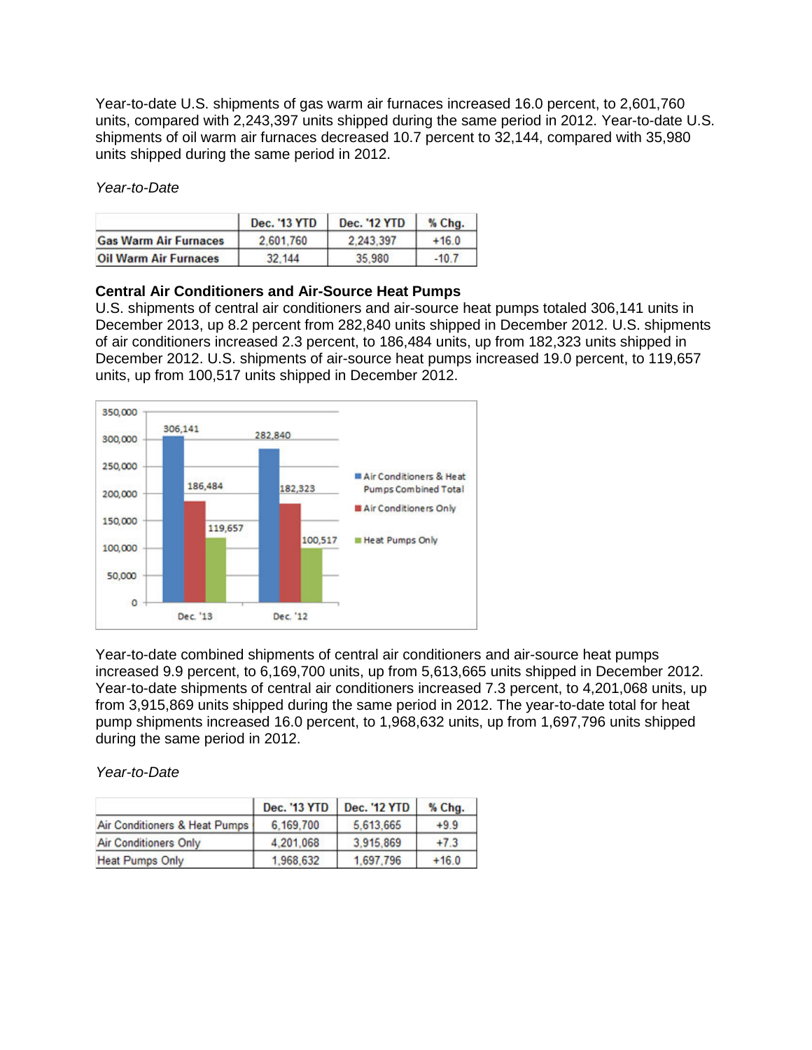Year-to-date U.S. shipments of gas warm air furnaces increased 16.0 percent, to 2,601,760 units, compared with 2,243,397 units shipped during the same period in 2012. Year-to-date U.S. shipments of oil warm air furnaces decreased 10.7 percent to 32,144, compared with 35,980 units shipped during the same period in 2012.

*Year-to-Date*

|                              | <b>Dec. '13 YTD</b> | <b>Dec. '12 YTD</b> | $%$ Chq. |
|------------------------------|---------------------|---------------------|----------|
| <b>Gas Warm Air Furnaces</b> | 2.601.760           | 2.243.397           | $+16.0$  |
| <b>Oil Warm Air Furnaces</b> | 32.144              | 35,980              | $-10.7$  |

### **Central Air Conditioners and Air-Source Heat Pumps**

U.S. shipments of central air conditioners and air-source heat pumps totaled 306,141 units in December 2013, up 8.2 percent from 282,840 units shipped in December 2012. U.S. shipments of air conditioners increased 2.3 percent, to 186,484 units, up from 182,323 units shipped in December 2012. U.S. shipments of air-source heat pumps increased 19.0 percent, to 119,657 units, up from 100,517 units shipped in December 2012.



Year-to-date combined shipments of central air conditioners and air-source heat pumps increased 9.9 percent, to 6,169,700 units, up from 5,613,665 units shipped in December 2012. Year-to-date shipments of central air conditioners increased 7.3 percent, to 4,201,068 units, up from 3,915,869 units shipped during the same period in 2012. The year-to-date total for heat pump shipments increased 16.0 percent, to 1,968,632 units, up from 1,697,796 units shipped during the same period in 2012.

#### *Year-to-Date*

|                               | <b>Dec. '13 YTD</b> | <b>Dec. '12 YTD</b> | % Chg.  |
|-------------------------------|---------------------|---------------------|---------|
| Air Conditioners & Heat Pumps | 6.169.700           | 5.613.665           | $+9.9$  |
| <b>Air Conditioners Only</b>  | 4,201,068           | 3,915,869           | $+7.3$  |
| <b>Heat Pumps Only</b>        | 1.968.632           | 1.697.796           | $+16.0$ |